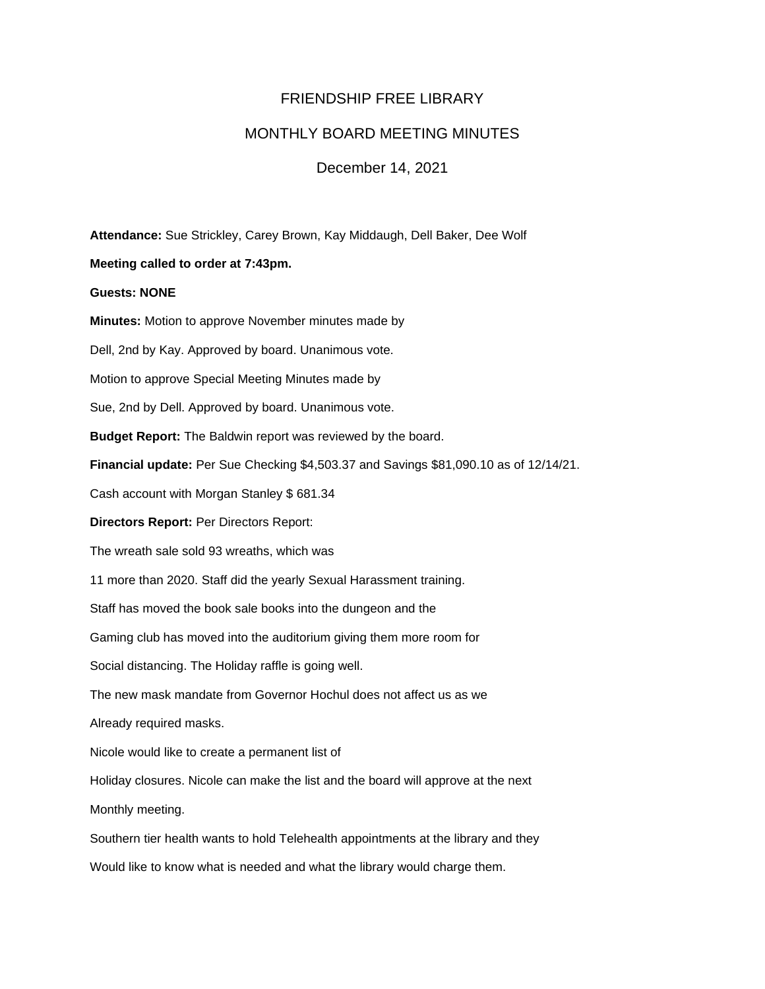# FRIENDSHIP FREE LIBRARY

## MONTHLY BOARD MEETING MINUTES

### December 14, 2021

**Attendance:** Sue Strickley, Carey Brown, Kay Middaugh, Dell Baker, Dee Wolf

### **Meeting called to order at 7:43pm.**

### **Guests: NONE**

**Minutes:** Motion to approve November minutes made by Dell, 2nd by Kay. Approved by board. Unanimous vote. Motion to approve Special Meeting Minutes made by Sue, 2nd by Dell. Approved by board. Unanimous vote. **Budget Report:** The Baldwin report was reviewed by the board. **Financial update:** Per Sue Checking \$4,503.37 and Savings \$81,090.10 as of 12/14/21. Cash account with Morgan Stanley \$ 681.34 **Directors Report:** Per Directors Report: The wreath sale sold 93 wreaths, which was 11 more than 2020. Staff did the yearly Sexual Harassment training. Staff has moved the book sale books into the dungeon and the Gaming club has moved into the auditorium giving them more room for Social distancing. The Holiday raffle is going well. The new mask mandate from Governor Hochul does not affect us as we Already required masks. Nicole would like to create a permanent list of Holiday closures. Nicole can make the list and the board will approve at the next Monthly meeting. Southern tier health wants to hold Telehealth appointments at the library and they

Would like to know what is needed and what the library would charge them.